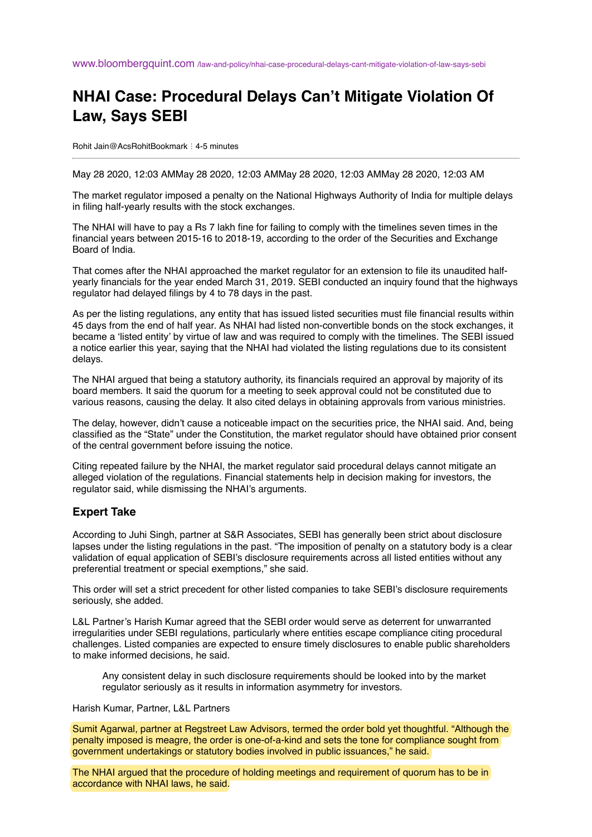## **NHAI Case: Procedural Delays Can't Mitigate Violation Of Law, Says SEBI**

Rohit Jain@AcsRohitBookmark ⋮ 4-5 minutes

May 28 2020, 12:03 AMMay 28 2020, 12:03 AMMay 28 2020, 12:03 AMMay 28 2020, 12:03 AM

The market regulator imposed a penalty on the National Highways Authority of India for multiple delays in filing half-yearly results with the stock exchanges.

The NHAI will have to pay a Rs 7 lakh fine for failing to comply with the timelines seven times in the financial years between 2015-16 to 2018-19, according to the order of the Securities and Exchange Board of India.

That comes after the NHAI approached the market regulator for an extension to file its unaudited halfyearly financials for the year ended March 31, 2019. SEBI conducted an inquiry found that the highways regulator had delayed filings by 4 to 78 days in the past.

As per the listing regulations, any entity that has issued listed securities must file financial results within 45 days from the end of half year. As NHAI had listed non-convertible bonds on the stock exchanges, it became a 'listed entity' by virtue of law and was required to comply with the timelines. The SEBI issued a notice earlier this year, saying that the NHAI had violated the listing regulations due to its consistent delays.

The NHAI argued that being a statutory authority, its financials required an approval by majority of its board members. It said the quorum for a meeting to seek approval could not be constituted due to various reasons, causing the delay. It also cited delays in obtaining approvals from various ministries.

The delay, however, didn't cause a noticeable impact on the securities price, the NHAI said. And, being classified as the "State" under the Constitution, the market regulator should have obtained prior consent of the central government before issuing the notice.

Citing repeated failure by the NHAI, the market regulator said procedural delays cannot mitigate an alleged violation of the regulations. Financial statements help in decision making for investors, the regulator said, while dismissing the NHAI's arguments.

## **Expert Take**

According to Juhi Singh, partner at S&R Associates, SEBI has generally been strict about disclosure lapses under the listing regulations in the past. "The imposition of penalty on a statutory body is a clear validation of equal application of SEBI's disclosure requirements across all listed entities without any preferential treatment or special exemptions," she said.

This order will set a strict precedent for other listed companies to take SEBI's disclosure requirements seriously, she added.

L&L Partner's Harish Kumar agreed that the SEBI order would serve as deterrent for unwarranted irregularities under SEBI regulations, particularly where entities escape compliance citing procedural challenges. Listed companies are expected to ensure timely disclosures to enable public shareholders to make informed decisions, he said.

Any consistent delay in such disclosure requirements should be looked into by the market regulator seriously as it results in information asymmetry for investors.

## Harish Kumar, Partner, L&L Partners

Sumit Agarwal, partner at Regstreet Law Advisors, termed the order bold yet thoughtful. "Although the penalty imposed is meagre, the order is one-of-a-kind and sets the tone for compliance sought from government undertakings or statutory bodies involved in public issuances," he said.

The NHAI argued that the procedure of holding meetings and requirement of quorum has to be in accordance with NHAI laws, he said.